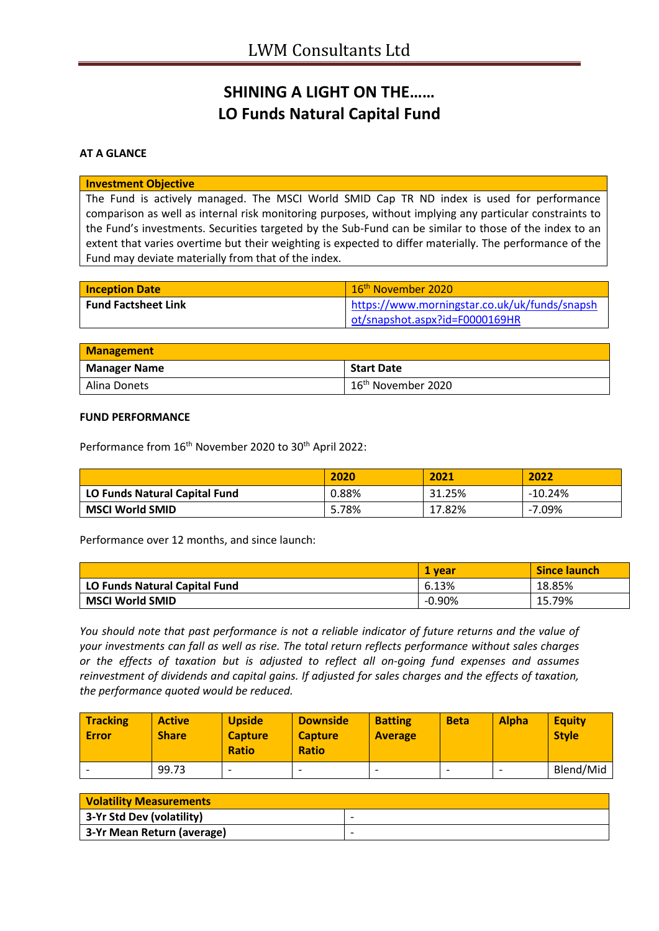# **SHINING A LIGHT ON THE…… LO Funds Natural Capital Fund**

## **AT A GLANCE**

#### **Investment Objective**

The Fund is actively managed. The MSCI World SMID Cap TR ND index is used for performance comparison as well as internal risk monitoring purposes, without implying any particular constraints to the Fund's investments. Securities targeted by the Sub-Fund can be similar to those of the index to an extent that varies overtime but their weighting is expected to differ materially. The performance of the Fund may deviate materially from that of the index.

| <b>Inception Date</b>      | 16 <sup>th</sup> November 2020                |
|----------------------------|-----------------------------------------------|
| <b>Fund Factsheet Link</b> | https://www.morningstar.co.uk/uk/funds/snapsh |
|                            | ot/snapshot.aspx?id=F0000169HR                |

| <b>Management</b>   |                                |
|---------------------|--------------------------------|
| <b>Manager Name</b> | <b>Start Date</b>              |
| Alina Donets        | 16 <sup>th</sup> November 2020 |

### **FUND PERFORMANCE**

Performance from 16<sup>th</sup> November 2020 to 30<sup>th</sup> April 2022:

|                               | 2020  | 2021   | 2022      |
|-------------------------------|-------|--------|-----------|
| LO Funds Natural Capital Fund | 0.88% | 31.25% | $-10.24%$ |
| <b>MSCI World SMID</b>        | 5.78% | 17.82% | $-7.09\%$ |

Performance over 12 months, and since launch:

|                               | 1 vear   | <b>Since launch</b> |
|-------------------------------|----------|---------------------|
| LO Funds Natural Capital Fund | 6.13%    | 18.85%              |
| <b>MSCI World SMID</b>        | $-0.90%$ | 15.79%              |

*You should note that past performance is not a reliable indicator of future returns and the value of your investments can fall as well as rise. The total return reflects performance without sales charges or the effects of taxation but is adjusted to reflect all on-going fund expenses and assumes reinvestment of dividends and capital gains. If adjusted for sales charges and the effects of taxation, the performance quoted would be reduced.*

| <b>Tracking</b><br><b>Error</b> | <b>Active</b><br><b>Share</b> | <b>Upside</b><br><b>Capture</b><br><b>Ratio</b> | <b>Downside</b><br><b>Capture</b><br><b>Ratio</b> | <b>Batting</b><br><b>Average</b> | <b>Beta</b>              | <b>Alpha</b> | <b>Equity</b><br><b>Style</b> |
|---------------------------------|-------------------------------|-------------------------------------------------|---------------------------------------------------|----------------------------------|--------------------------|--------------|-------------------------------|
|                                 | 99.73                         | $\overline{\phantom{0}}$                        | $\overline{\phantom{0}}$                          | -                                | $\overline{\phantom{0}}$ |              | Blend/Mid                     |

| <b>Volatility Measurements</b> |                          |  |
|--------------------------------|--------------------------|--|
| 3-Yr Std Dev (volatility)      | $\overline{\phantom{0}}$ |  |
| 3-Yr Mean Return (average)     |                          |  |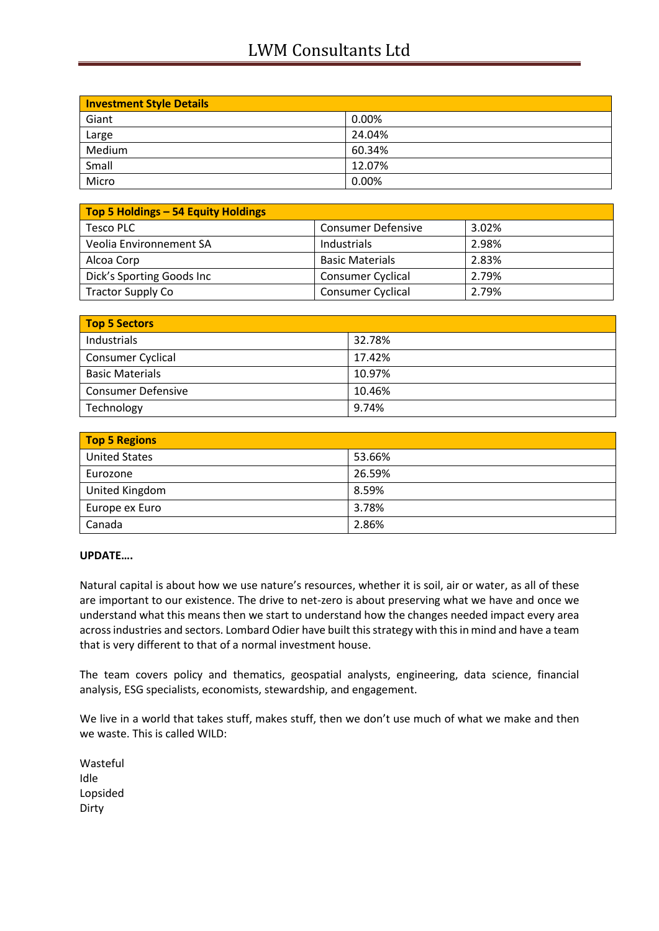# LWM Consultants Ltd

| <b>Investment Style Details</b> |        |  |
|---------------------------------|--------|--|
| Giant                           | 0.00%  |  |
| Large                           | 24.04% |  |
| Medium                          | 60.34% |  |
| Small                           | 12.07% |  |
| Micro                           | 0.00%  |  |

| Top 5 Holdings - 54 Equity Holdings |                           |       |
|-------------------------------------|---------------------------|-------|
| Tesco PLC                           | <b>Consumer Defensive</b> | 3.02% |
| Veolia Environnement SA             | Industrials               | 2.98% |
| Alcoa Corp                          | <b>Basic Materials</b>    | 2.83% |
| Dick's Sporting Goods Inc           | <b>Consumer Cyclical</b>  | 2.79% |
| <b>Tractor Supply Co</b>            | <b>Consumer Cyclical</b>  | 2.79% |

| Top 5 Sectors             |        |  |
|---------------------------|--------|--|
| Industrials               | 32.78% |  |
| <b>Consumer Cyclical</b>  | 17.42% |  |
| <b>Basic Materials</b>    | 10.97% |  |
| <b>Consumer Defensive</b> | 10.46% |  |
| Technology                | 9.74%  |  |

| <b>Top 5 Regions</b> |        |  |
|----------------------|--------|--|
| <b>United States</b> | 53.66% |  |
| Eurozone             | 26.59% |  |
| United Kingdom       | 8.59%  |  |
| Europe ex Euro       | 3.78%  |  |
| Canada               | 2.86%  |  |

## **UPDATE….**

Natural capital is about how we use nature's resources, whether it is soil, air or water, as all of these are important to our existence. The drive to net-zero is about preserving what we have and once we understand what this means then we start to understand how the changes needed impact every area across industries and sectors. Lombard Odier have built this strategy with this in mind and have a team that is very different to that of a normal investment house.

The team covers policy and thematics, geospatial analysts, engineering, data science, financial analysis, ESG specialists, economists, stewardship, and engagement.

We live in a world that takes stuff, makes stuff, then we don't use much of what we make and then we waste. This is called WILD:

Wasteful Idle Lopsided Dirty